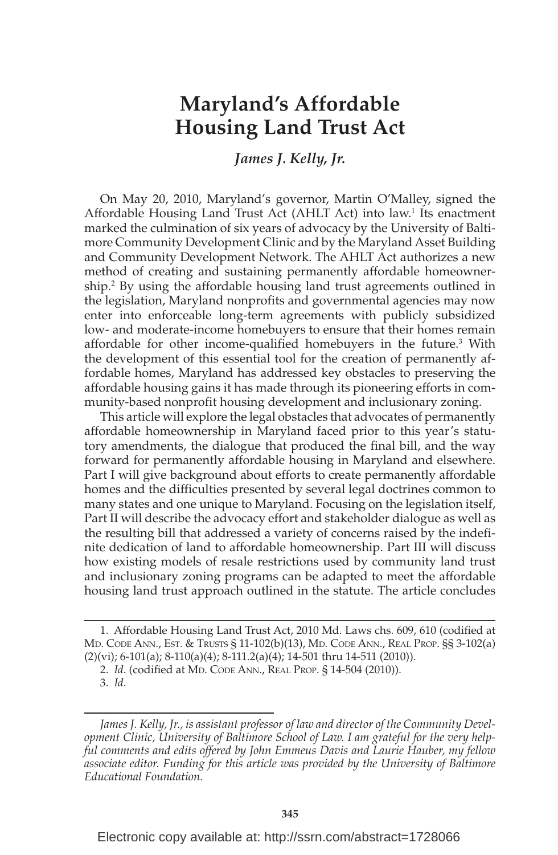# **Maryland's Affordable Housing Land Trust Act**

## *James J. Kelly, Jr.*

 On May 20, 2010, Maryland's governor, Martin O'Malley, signed the Affordable Housing Land Trust Act (AHLT Act) into law.<sup>1</sup> Its enactment marked the culmination of six years of advocacy by the University of Baltimore Community Development Clinic and by the Maryland Asset Building and Community Development Network. The AHLT Act authorizes a new method of creating and sustaining permanently affordable homeownership.<sup>2</sup> By using the affordable housing land trust agreements outlined in the legislation, Maryland nonprofits and governmental agencies may now enter into enforceable long-term agreements with publicly subsidized low- and moderate-income homebuyers to ensure that their homes remain affordable for other income-qualified homebuyers in the future.<sup>3</sup> With the development of this essential tool for the creation of permanently affordable homes, Maryland has addressed key obstacles to preserving the affordable housing gains it has made through its pioneering efforts in community-based nonprofit housing development and inclusionary zoning.

 This article will explore the legal obstacles that advocates of permanently affordable homeownership in Maryland faced prior to this year's statutory amendments, the dialogue that produced the final bill, and the way forward for permanently affordable housing in Maryland and elsewhere. Part I will give background about efforts to create permanently affordable homes and the difficulties presented by several legal doctrines common to many states and one unique to Maryland. Focusing on the legislation itself, Part II will describe the advocacy effort and stakeholder dialogue as well as the resulting bill that addressed a variety of concerns raised by the indefinite dedication of land to affordable homeownership. Part III will discuss how existing models of resale restrictions used by community land trust and inclusionary zoning programs can be adapted to meet the affordable housing land trust approach outlined in the statute. The article concludes

Electronic copy available at: http://ssrn.com/abstract=1728066

<sup>1.</sup> Affordable Housing Land Trust Act, 2010 Md. Laws chs. 609, 610 (codified at MD. CODE ANN., EST. & TRUSTS § 11-102(b)(13), MD. CODE ANN., REAL PROP. §§ 3-102(a) (2)(vi); 6-101(a); 8-110(a)(4); 8-111.2(a)(4); 14-501 thru 14-511 (2010)).

<sup>2.</sup> *Id.* (codified at MD. CODE ANN., REAL PROP. § 14-504 (2010)).

 <sup>3.</sup> *Id* .

*James J. Kelly, Jr., is assistant professor of law and director of the Community Development Clinic, University of Baltimore School of Law. I am grateful for the very helpful comments and edits offered by John Emmeus Davis and Laurie Hauber, my fellow associate editor. Funding for this article was provided by the University of Baltimore Educational Foundation.*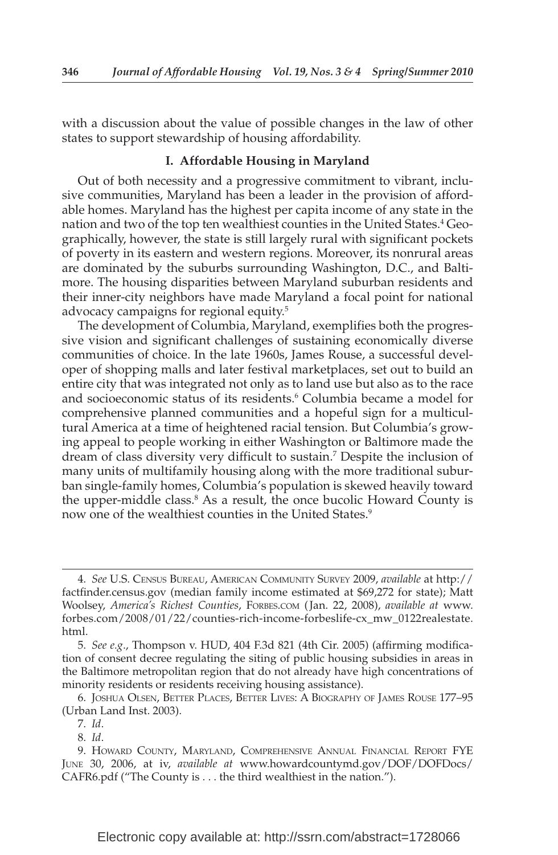with a discussion about the value of possible changes in the law of other states to support stewardship of housing affordability.

#### **I. Affordable Housing in Maryland**

 Out of both necessity and a progressive commitment to vibrant, inclusive communities, Maryland has been a leader in the provision of affordable homes. Maryland has the highest per capita income of any state in the nation and two of the top ten wealthiest counties in the United States. 4 Geographically, however, the state is still largely rural with significant pockets of poverty in its eastern and western regions. Moreover, its nonrural areas are dominated by the suburbs surrounding Washington, D.C., and Baltimore. The housing disparities between Maryland suburban residents and their inner-city neighbors have made Maryland a focal point for national advocacy campaigns for regional equity.<sup>5</sup>

 The development of Columbia, Maryland, exemplifies both the progressive vision and significant challenges of sustaining economically diverse communities of choice. In the late 1960s, James Rouse, a successful developer of shopping malls and later festival marketplaces, set out to build an entire city that was integrated not only as to land use but also as to the race and socioeconomic status of its residents.<sup>6</sup> Columbia became a model for comprehensive planned communities and a hopeful sign for a multicultural America at a time of heightened racial tension. But Columbia's growing appeal to people working in either Washington or Baltimore made the dream of class diversity very difficult to sustain.<sup>7</sup> Despite the inclusion of many units of multifamily housing along with the more traditional suburban single-family homes, Columbia's population is skewed heavily toward the upper-middle class.<sup>8</sup> As a result, the once bucolic Howard County is now one of the wealthiest counties in the United States.<sup>9</sup>

 <sup>4.</sup> *See* U.S. CENSUS BUREAU, AMERICAN COMMUNITY SURVEY 2009, *available* at http:// factfinder.census.gov (median family income estimated at \$69,272 for state); Matt Woolsey, *America's Richest Counties* , FORBES.COM ( Jan. 22, 2008), *available at* www. forbes.com/2008/01/22/counties-rich-income-forbeslife-cx\_mw\_0122realestate. html.

<sup>5.</sup> *See e.g.*, Thompson v. HUD, 404 F.3d 821 (4th Cir. 2005) (affirming modification of consent decree regulating the siting of public housing subsidies in areas in the Baltimore metropolitan region that do not already have high concentrations of minority residents or residents receiving housing assistance).

 <sup>6.</sup> JOSHUA OLSEN, BETTER PLACES, BETTER LIVES: A BIOGRAPHY OF JAMES ROUSE 177–95 (Urban Land Inst. 2003).

 <sup>7.</sup> *Id* .

 <sup>8.</sup> *Id* .

 <sup>9.</sup> HOWARD COUNTY, MARYLAND, COMPREHENSIVE ANNUAL FINANCIAL REPORT FYE JUNE 30, 2006, at iv, *available at* www.howardcountymd.gov/DOF/DOFDocs/ CAFR6.pdf ("The County is . . . the third wealthiest in the nation.").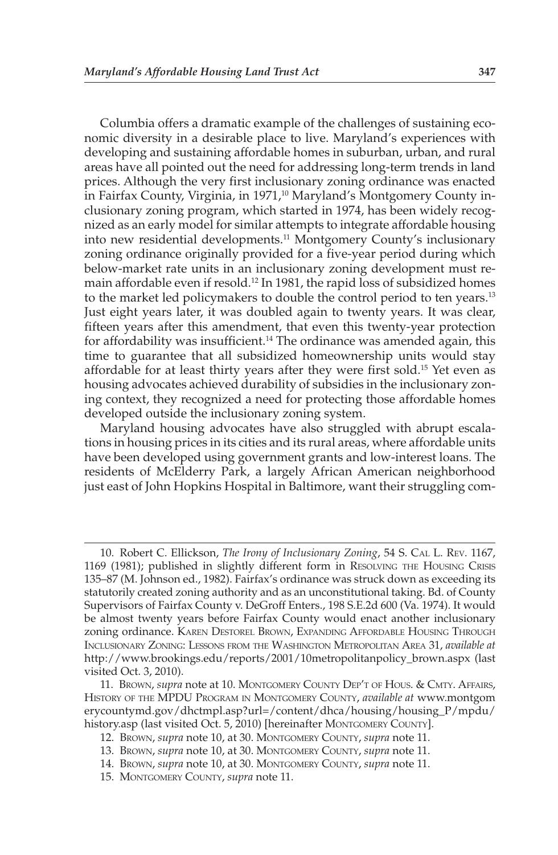Columbia offers a dramatic example of the challenges of sustaining economic diversity in a desirable place to live. Maryland's experiences with developing and sustaining affordable homes in suburban, urban, and rural areas have all pointed out the need for addressing long-term trends in land prices. Although the very first inclusionary zoning ordinance was enacted in Fairfax County, Virginia, in 1971,<sup>10</sup> Maryland's Montgomery County inclusionary zoning program, which started in 1974, has been widely recognized as an early model for similar attempts to integrate affordable housing into new residential developments.<sup>11</sup> Montgomery County's inclusionary zoning ordinance originally provided for a five-year period during which below-market rate units in an inclusionary zoning development must remain affordable even if resold. 12 In 1981, the rapid loss of subsidized homes to the market led policymakers to double the control period to ten years.<sup>13</sup> Just eight years later, it was doubled again to twenty years. It was clear, fifteen years after this amendment, that even this twenty-year protection for affordability was insufficient.<sup>14</sup> The ordinance was amended again, this time to guarantee that all subsidized homeownership units would stay affordable for at least thirty years after they were first sold.<sup>15</sup> Yet even as housing advocates achieved durability of subsidies in the inclusionary zoning context, they recognized a need for protecting those affordable homes developed outside the inclusionary zoning system.

 Maryland housing advocates have also struggled with abrupt escalations in housing prices in its cities and its rural areas, where affordable units have been developed using government grants and low-interest loans. The residents of McElderry Park, a largely African American neighborhood just east of John Hopkins Hospital in Baltimore, want their struggling com-

 <sup>10.</sup> Robert C. Ellickson, *The Irony of Inclusionary Zoning* , 54 S. CAL L. REV. 1167, 1169 (1981); published in slightly different form in RESOLVING THE HOUSING CRISIS 135–87 (M. Johnson ed., 1982). Fairfax's ordinance was struck down as exceeding its statutorily created zoning authority and as an unconstitutional taking. Bd. of County Supervisors of Fairfax County v. DeGroff Enters., 198 S.E.2d 600 (Va. 1974). It would be almost twenty years before Fairfax County would enact another inclusionary zoning ordinance. KAREN DESTOREL BROWN, EXPANDING AFFORDABLE HOUSING THROUGH INCLUSIONARY ZONING: LESSONS FROM THE WASHINGTON METROPOLITAN AREA 31, *available at* http://www.brookings.edu/reports/2001/10metropolitanpolicy\_brown.aspx (last visited Oct. 3, 2010).

 <sup>11.</sup> BROWN , *supra* note at 10. MONTGOMERY COUNTY DEP'T OF HOUS. & CMTY. AFFAIRS, HISTORY OF THE MPDU PROGRAM IN MONTGOMERY COUNTY , *available at* www.montgom erycountymd.gov/dhctmpl.asp?url=/content/dhca/housing/housing\_P/mpdu/ history.asp (last visited Oct. 5, 2010) [hereinafter MONTGOMERY COUNTY].

 <sup>12.</sup> BROWN , *supra* note 10, at 30. MONTGOMERY COUNTY, *supra* note 11.

<sup>13.</sup> BROWN, *supra* note 10, at 30. MONTGOMERY COUNTY, *supra* note 11.

<sup>14.</sup> Brown, *supra* note 10, at 30. Montgomery County, *supra* note 11.

 <sup>15.</sup> MONTGOMERY COUNTY, *supra* note 11.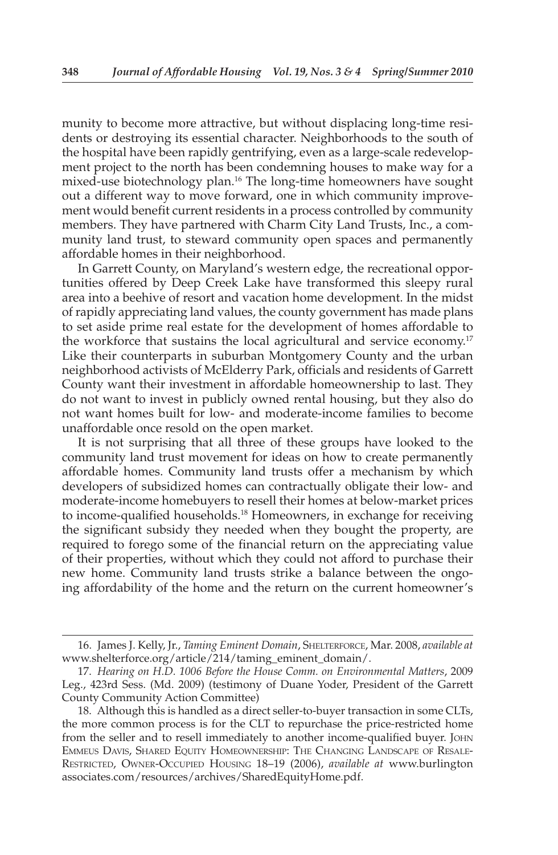munity to become more attractive, but without displacing long-time residents or destroying its essential character. Neighborhoods to the south of the hospital have been rapidly gentrifying, even as a large-scale redevelopment project to the north has been condemning houses to make way for a mixed-use biotechnology plan. 16 The long-time homeowners have sought out a different way to move forward, one in which community improvement would benefit current residents in a process controlled by community members. They have partnered with Charm City Land Trusts, Inc., a community land trust, to steward community open spaces and permanently affordable homes in their neighborhood.

 In Garrett County, on Maryland's western edge, the recreational opportunities offered by Deep Creek Lake have transformed this sleepy rural area into a beehive of resort and vacation home development. In the midst of rapidly appreciating land values, the county government has made plans to set aside prime real estate for the development of homes affordable to the workforce that sustains the local agricultural and service economy.<sup>17</sup> Like their counterparts in suburban Montgomery County and the urban neighborhood activists of McElderry Park, officials and residents of Garrett County want their investment in affordable homeownership to last. They do not want to invest in publicly owned rental housing, but they also do not want homes built for low- and moderate-income families to become unaffordable once resold on the open market.

 It is not surprising that all three of these groups have looked to the community land trust movement for ideas on how to create permanently affordable homes. Community land trusts offer a mechanism by which developers of subsidized homes can contractually obligate their low- and moderate-income homebuyers to resell their homes at below-market prices to income-qualified households. 18 Homeowners, in exchange for receiving the significant subsidy they needed when they bought the property, are required to forego some of the financial return on the appreciating value of their properties, without which they could not afford to purchase their new home. Community land trusts strike a balance between the ongoing affordability of the home and the return on the current homeowner's

 <sup>16.</sup> James J. Kelly, Jr., *Taming Eminent Domain* , SHELTERFORCE , Mar. 2008, *available at* www.shelterforce.org/article/214/taming\_eminent\_domain/.

 <sup>17.</sup> *Hearing on H.D. 1006 Before the House Comm. on Environmental Matters*, 2009 Leg., 423rd Sess. (Md. 2009) (testimony of Duane Yoder, President of the Garrett County Community Action Committee)

 <sup>18.</sup> Although this is handled as a direct seller-to-buyer transaction in some CLTs, the more common process is for the CLT to repurchase the price-restricted home from the seller and to resell immediately to another income-qualified buyer. JOHN EMMEUS DAVIS, SHARED EQUITY HOMEOWNERSHIP: THE CHANGING LANDSCAPE OF RESALE-RESTRICTED, OWNER-OCCUPIED HOUSING 18–19 (2006), *available at* www.burlington associates.com/resources/archives/SharedEquityHome.pdf.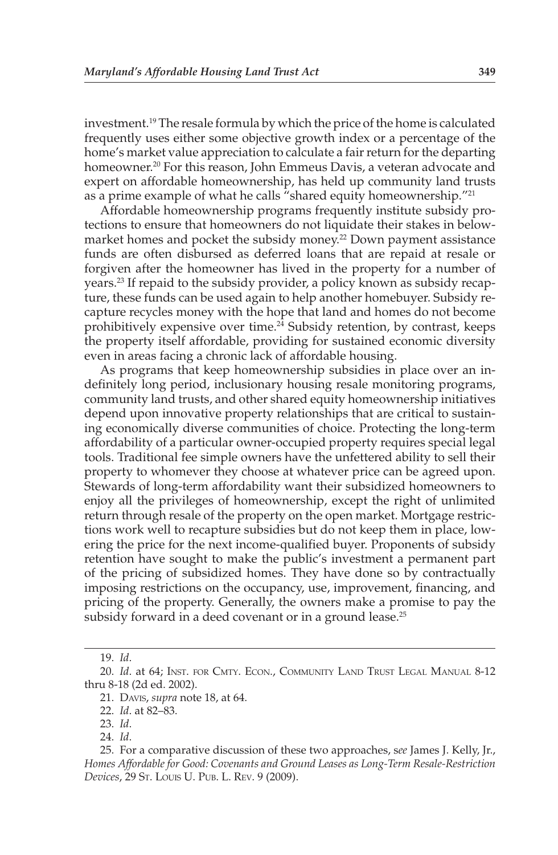investment. 19 The resale formula by which the price of the home is calculated frequently uses either some objective growth index or a percentage of the home's market value appreciation to calculate a fair return for the departing homeowner.<sup>20</sup> For this reason, John Emmeus Davis, a veteran advocate and expert on affordable homeownership, has held up community land trusts as a prime example of what he calls "shared equity homeownership."<sup>21</sup>

 Affordable homeownership programs frequently institute subsidy protections to ensure that homeowners do not liquidate their stakes in belowmarket homes and pocket the subsidy money.<sup>22</sup> Down payment assistance funds are often disbursed as deferred loans that are repaid at resale or forgiven after the homeowner has lived in the property for a number of years. 23 If repaid to the subsidy provider, a policy known as subsidy recapture, these funds can be used again to help another homebuyer. Subsidy recapture recycles money with the hope that land and homes do not become prohibitively expensive over time.<sup>24</sup> Subsidy retention, by contrast, keeps the property itself affordable, providing for sustained economic diversity even in areas facing a chronic lack of affordable housing.

 As programs that keep homeownership subsidies in place over an indefinitely long period, inclusionary housing resale monitoring programs, community land trusts, and other shared equity homeownership initiatives depend upon innovative property relationships that are critical to sustaining economically diverse communities of choice. Protecting the long-term affordability of a particular owner-occupied property requires special legal tools. Traditional fee simple owners have the unfettered ability to sell their property to whomever they choose at whatever price can be agreed upon. Stewards of long-term affordability want their subsidized homeowners to enjoy all the privileges of homeownership, except the right of unlimited return through resale of the property on the open market. Mortgage restrictions work well to recapture subsidies but do not keep them in place, lowering the price for the next income-qualified buyer. Proponents of subsidy retention have sought to make the public's investment a permanent part of the pricing of subsidized homes. They have done so by contractually imposing restrictions on the occupancy, use, improvement, financing, and pricing of the property. Generally, the owners make a promise to pay the subsidy forward in a deed covenant or in a ground lease.<sup>25</sup>

 <sup>19.</sup> *Id* .

 <sup>20.</sup> *Id* . at 64; INST. FOR CMTY. ECON., COMMUNITY LAND TRUST LEGAL MANUAL 8-12 thru 8-18 (2d ed. 2002).

<sup>21.</sup> DAVIS, *supra* note 18, at 64.

<sup>22.</sup> *Id.* at 82-83.

 <sup>23.</sup> *Id* .

 <sup>24.</sup> *Id* .

 <sup>25.</sup> For a comparative discussion of these two approaches, s *ee* James J. Kelly, Jr., *Homes Affordable for Good: Covenants and Ground Leases as Long-Term Resale-Restriction Devices* , 29 ST. LOUIS U. PUB. L. REV. 9 (2009).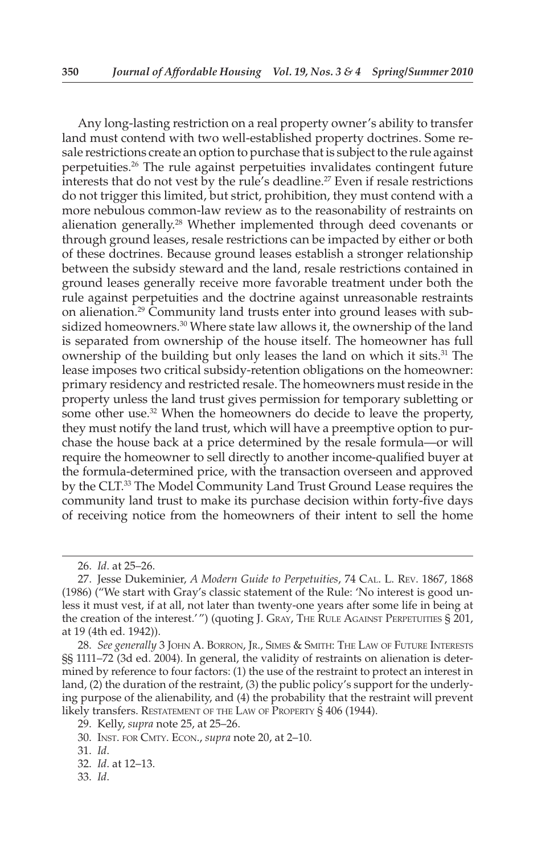Any long-lasting restriction on a real property owner's ability to transfer land must contend with two well-established property doctrines. Some resale restrictions create an option to purchase that is subject to the rule against perpetuities. 26 The rule against perpetuities invalidates contingent future interests that do not vest by the rule's deadline. 27 Even if resale restrictions do not trigger this limited, but strict, prohibition, they must contend with a more nebulous common-law review as to the reasonability of restraints on alienation generally.<sup>28</sup> Whether implemented through deed covenants or through ground leases, resale restrictions can be impacted by either or both of these doctrines. Because ground leases establish a stronger relationship between the subsidy steward and the land, resale restrictions contained in ground leases generally receive more favorable treatment under both the rule against perpetuities and the doctrine against unreasonable restraints on alienation. 29 Community land trusts enter into ground leases with subsidized homeowners.<sup>30</sup> Where state law allows it, the ownership of the land is separated from ownership of the house itself. The homeowner has full ownership of the building but only leases the land on which it sits.<sup>31</sup> The lease imposes two critical subsidy-retention obligations on the homeowner: primary residency and restricted resale. The homeowners must reside in the property unless the land trust gives permission for temporary subletting or some other use.<sup>32</sup> When the homeowners do decide to leave the property, they must notify the land trust, which will have a preemptive option to purchase the house back at a price determined by the resale formula—or will require the homeowner to sell directly to another income-qualified buyer at the formula-determined price, with the transaction overseen and approved by the CLT. 33 The Model Community Land Trust Ground Lease requires the community land trust to make its purchase decision within forty-five days of receiving notice from the homeowners of their intent to sell the home

<sup>26.</sup> *Id.* at 25–26.

 <sup>27.</sup> Jesse Dukeminier, *A Modern Guide to Perpetuities* , 74 CAL. L. REV . 1867, 1868 (1986) ("We start with Gray's classic statement of the Rule: 'No interest is good unless it must vest, if at all, not later than twenty-one years after some life in being at the creation of the interest.' ") (quoting J. GRAY, THE RULE AGAINST PERPETUITIES § 201, at 19 (4th ed. 1942)).

 <sup>28.</sup> *See generally* 3 JOHN A. BORRON, JR., SIMES & SMITH: THE LAW OF FUTURE INTERESTS §§ 1111-72 (3d ed. 2004). In general, the validity of restraints on alienation is determined by reference to four factors: (1) the use of the restraint to protect an interest in land, (2) the duration of the restraint, (3) the public policy's support for the underlying purpose of the alienability, and (4) the probability that the restraint will prevent likely transfers. RESTATEMENT OF THE LAW OF PROPERTY § 406 (1944).

 <sup>29.</sup> Kelly, *supra* note 25, at 25–26.

 <sup>30.</sup> INST. FOR CMTY. ECON., *supra* note 20, at 2–10.

 <sup>31.</sup> *Id* .

<sup>32.</sup> *Id.* at 12-13.

 <sup>33.</sup> *Id* .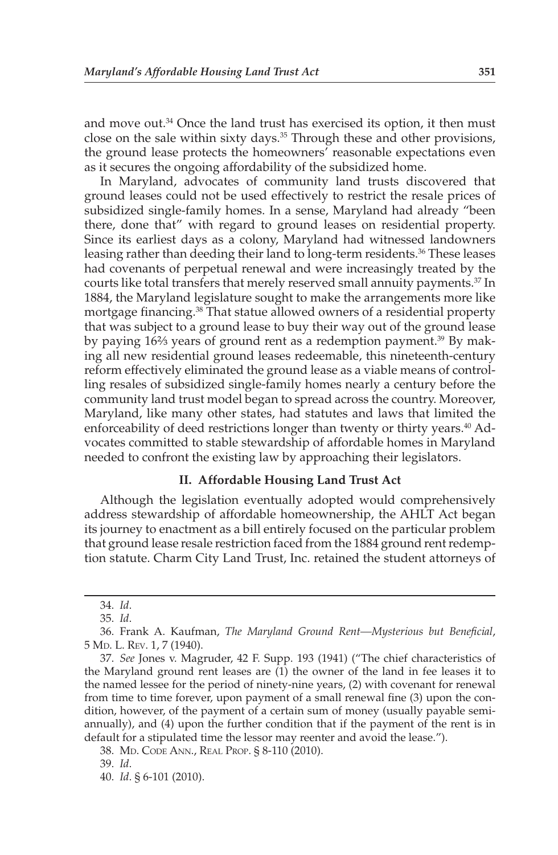and move out. $34$  Once the land trust has exercised its option, it then must close on the sale within sixty days. 35 Through these and other provisions, the ground lease protects the homeowners' reasonable expectations even as it secures the ongoing affordability of the subsidized home.

 In Maryland, advocates of community land trusts discovered that ground leases could not be used effectively to restrict the resale prices of subsidized single-family homes. In a sense, Maryland had already "been there, done that" with regard to ground leases on residential property. Since its earliest days as a colony, Maryland had witnessed landowners leasing rather than deeding their land to long-term residents.<sup>36</sup> These leases had covenants of perpetual renewal and were increasingly treated by the courts like total transfers that merely reserved small annuity payments.<sup>37</sup> In 1884, the Maryland legislature sought to make the arrangements more like mortgage financing. 38 That statue allowed owners of a residential property that was subject to a ground lease to buy their way out of the ground lease by paying 16<sup>2</sup>/<sub>3</sub> years of ground rent as a redemption payment.<sup>39</sup> By making all new residential ground leases redeemable, this nineteenth-century reform effectively eliminated the ground lease as a viable means of controlling resales of subsidized single-family homes nearly a century before the community land trust model began to spread across the country. Moreover, Maryland, like many other states, had statutes and laws that limited the enforceability of deed restrictions longer than twenty or thirty years.<sup>40</sup> Advocates committed to stable stewardship of affordable homes in Maryland needed to confront the existing law by approaching their legislators.

### **II. Affordable Housing Land Trust Act**

 Although the legislation eventually adopted would comprehensively address stewardship of affordable homeownership, the AHLT Act began its journey to enactment as a bill entirely focused on the particular problem that ground lease resale restriction faced from the 1884 ground rent redemption statute. Charm City Land Trust, Inc. retained the student attorneys of

38. MD. CODE ANN., REAL PROP. § 8-110 (2010).

 <sup>34.</sup> *Id* .

 <sup>35.</sup> *Id* .

<sup>36.</sup> Frank A. Kaufman, *The Maryland Ground Rent—Mysterious but Beneficial*, 5 MD. L. Rev. 1, 7 (1940).

 <sup>37.</sup> *See* Jones v. Magruder, 42 F. Supp. 193 (1941) ("The chief characteristics of the Maryland ground rent leases are (1) the owner of the land in fee leases it to the named lessee for the period of ninety-nine years, (2) with covenant for renewal from time to time forever, upon payment of a small renewal fine (3) upon the condition, however, of the payment of a certain sum of money (usually payable semiannually), and (4) upon the further condition that if the payment of the rent is in default for a stipulated time the lessor may reenter and avoid the lease.").

 <sup>39.</sup> *Id* .

 <sup>40.</sup> *Id* . § 6-101 (2010).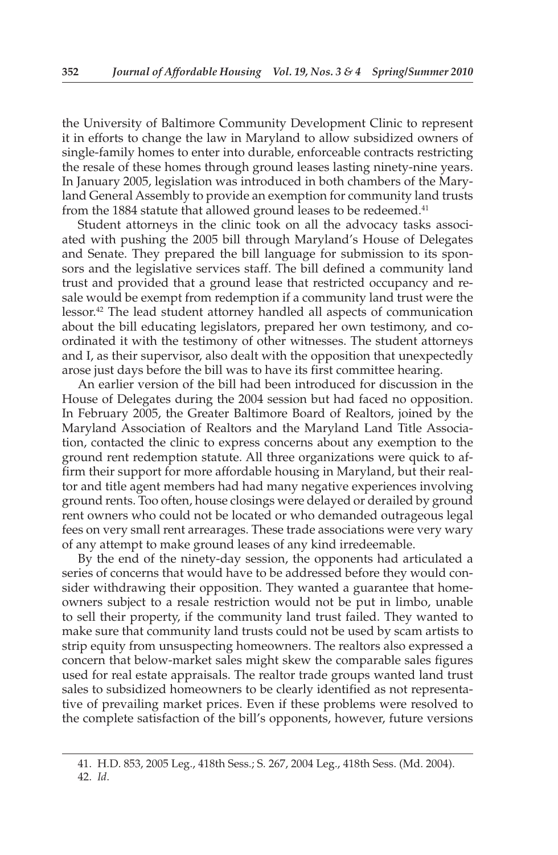the University of Baltimore Community Development Clinic to represent it in efforts to change the law in Maryland to allow subsidized owners of single-family homes to enter into durable, enforceable contracts restricting the resale of these homes through ground leases lasting ninety-nine years. In January 2005, legislation was introduced in both chambers of the Maryland General Assembly to provide an exemption for community land trusts from the 1884 statute that allowed ground leases to be redeemed.<sup>41</sup>

 Student attorneys in the clinic took on all the advocacy tasks associated with pushing the 2005 bill through Maryland's House of Delegates and Senate. They prepared the bill language for submission to its sponsors and the legislative services staff. The bill defined a community land trust and provided that a ground lease that restricted occupancy and resale would be exempt from redemption if a community land trust were the lessor. 42 The lead student attorney handled all aspects of communication about the bill educating legislators, prepared her own testimony, and coordinated it with the testimony of other witnesses. The student attorneys and I, as their supervisor, also dealt with the opposition that unexpectedly arose just days before the bill was to have its first committee hearing.

 An earlier version of the bill had been introduced for discussion in the House of Delegates during the 2004 session but had faced no opposition. In February 2005, the Greater Baltimore Board of Realtors, joined by the Maryland Association of Realtors and the Maryland Land Title Association, contacted the clinic to express concerns about any exemption to the ground rent redemption statute. All three organizations were quick to affirm their support for more affordable housing in Maryland, but their realtor and title agent members had had many negative experiences involving ground rents. Too often, house closings were delayed or derailed by ground rent owners who could not be located or who demanded outrageous legal fees on very small rent arrearages. These trade associations were very wary of any attempt to make ground leases of any kind irredeemable.

 By the end of the ninety-day session, the opponents had articulated a series of concerns that would have to be addressed before they would consider withdrawing their opposition. They wanted a guarantee that homeowners subject to a resale restriction would not be put in limbo, unable to sell their property, if the community land trust failed. They wanted to make sure that community land trusts could not be used by scam artists to strip equity from unsuspecting homeowners. The realtors also expressed a concern that below-market sales might skew the comparable sales figures used for real estate appraisals. The realtor trade groups wanted land trust sales to subsidized homeowners to be clearly identified as not representative of prevailing market prices. Even if these problems were resolved to the complete satisfaction of the bill's opponents, however, future versions

 <sup>41.</sup> H.D. 853, 2005 Leg., 418th Sess.; S. 267, 2004 Leg., 418th Sess. (Md. 2004).

 <sup>42.</sup> *Id* .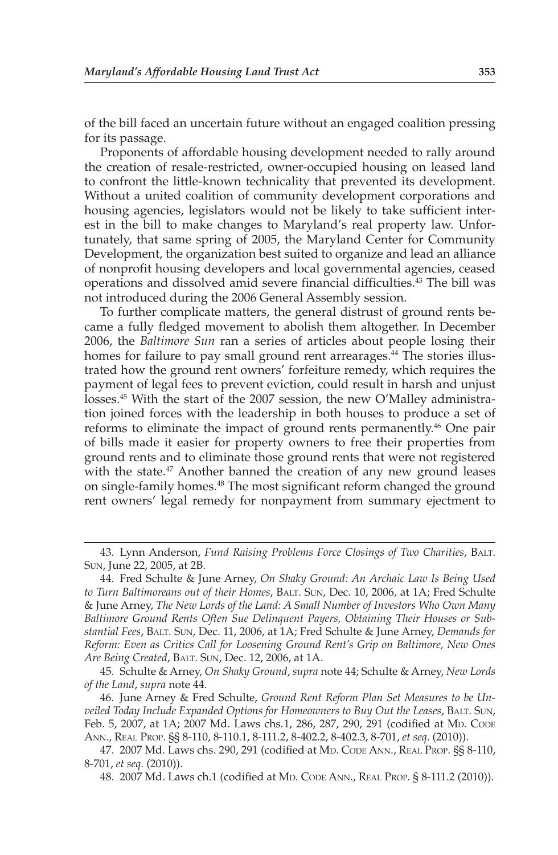of the bill faced an uncertain future without an engaged coalition pressing for its passage.

 Proponents of affordable housing development needed to rally around the creation of resale-restricted, owner-occupied housing on leased land to confront the little-known technicality that prevented its development. Without a united coalition of community development corporations and housing agencies, legislators would not be likely to take sufficient interest in the bill to make changes to Maryland's real property law. Unfortunately, that same spring of 2005, the Maryland Center for Community Development, the organization best suited to organize and lead an alliance of nonprofit housing developers and local governmental agencies, ceased operations and dissolved amid severe financial difficulties.<sup>43</sup> The bill was not introduced during the 2006 General Assembly session.

 To further complicate matters, the general distrust of ground rents became a fully fledged movement to abolish them altogether. In December 2006, the *Baltimore Sun* ran a series of articles about people losing their homes for failure to pay small ground rent arrearages.<sup>44</sup> The stories illustrated how the ground rent owners' forfeiture remedy, which requires the payment of legal fees to prevent eviction, could result in harsh and unjust losses. 45 With the start of the 2007 session, the new O'Malley administration joined forces with the leadership in both houses to produce a set of reforms to eliminate the impact of ground rents permanently.<sup>46</sup> One pair of bills made it easier for property owners to free their properties from ground rents and to eliminate those ground rents that were not registered with the state.<sup>47</sup> Another banned the creation of any new ground leases on single-family homes. 48 The most significant reform changed the ground rent owners' legal remedy for nonpayment from summary ejectment to

 45. Schulte & Arney, *On Shaky Ground* , *supra* note 44; Schulte & Arney, *New Lords of the Land* , *supra* note 44.

 46. June Arney & Fred Schulte, *Ground Rent Reform Plan Set Measures to be Unveiled Today Include Expanded Options for Homeowners to Buy Out the Leases* , BALT. SUN , Feb. 5, 2007, at 1A; 2007 Md. Laws chs.1, 286, 287, 290, 291 (codified at MD. CODE ANN., REAL PROP. §§ 8-110, 8-110.1, 8-111.2, 8-402.2, 8-402.3, 8-701, *et seq* . (2010)).

 <sup>43.</sup> Lynn Anderson, *Fund Raising Problems Force Closings of Two Charities* , BALT. SUN, June 22, 2005, at 2B.

 <sup>44.</sup> Fred Schulte & June Arney, *On Shaky Ground: An Archaic Law Is Being Used to Turn Baltimoreans out of their Homes* , BALT. SUN , Dec. 10, 2006, at 1A; Fred Schulte & June Arney, *The New Lords of the Land: A Small Number of Investors Who Own Many Baltimore Ground Rents Often Sue Delinquent Payers, Obtaining Their Houses or Substantial Fees* , BALT. SUN , Dec. 11, 2006, at 1A; Fred Schulte & June Arney, *Demands for Reform: Even as Critics Call for Loosening Ground Rent's Grip on Baltimore, New Ones*  Are Being Created, BALT. SUN, Dec. 12, 2006, at 1A.

<sup>47. 2007</sup> Md. Laws chs. 290, 291 (codified at MD. CODE ANN., REAL PROP. §§ 8-110, 8-701, *et seq* . (2010)).

<sup>48. 2007</sup> Md. Laws ch.1 (codified at MD. CODE ANN., REAL PROP. § 8-111.2 (2010)).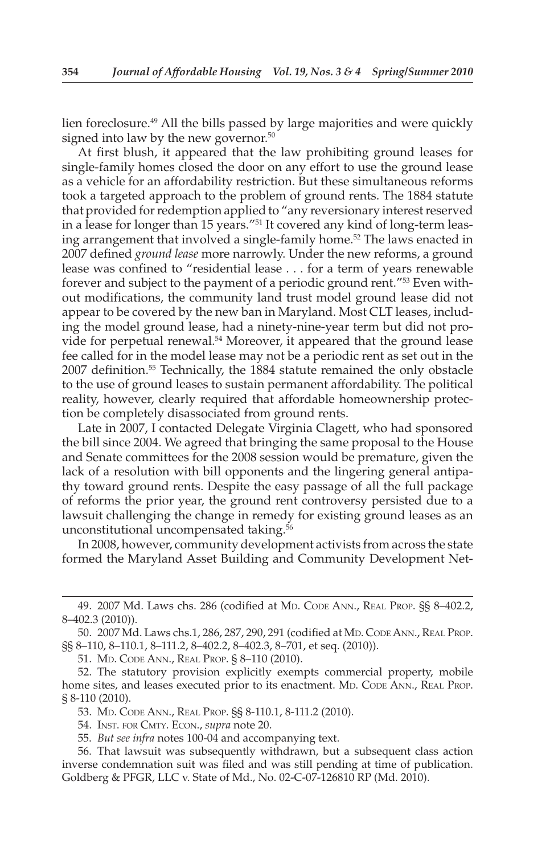lien foreclosure. 49 All the bills passed by large majorities and were quickly signed into law by the new governor.<sup>50</sup>

 At first blush, it appeared that the law prohibiting ground leases for single-family homes closed the door on any effort to use the ground lease as a vehicle for an affordability restriction. But these simultaneous reforms took a targeted approach to the problem of ground rents. The 1884 statute that provided for redemption applied to "any reversionary interest reserved in a lease for longer than 15 years."<sup>51</sup> It covered any kind of long-term leasing arrangement that involved a single-family home.<sup>52</sup> The laws enacted in 2007 defined *ground lease* more narrowly. Under the new reforms, a ground lease was confined to "residential lease . . . for a term of years renewable forever and subject to the payment of a periodic ground rent."<sup>53</sup> Even without modifications, the community land trust model ground lease did not appear to be covered by the new ban in Maryland. Most CLT leases, including the model ground lease, had a ninety-nine-year term but did not provide for perpetual renewal.<sup>54</sup> Moreover, it appeared that the ground lease fee called for in the model lease may not be a periodic rent as set out in the 2007 definition. 55 Technically, the 1884 statute remained the only obstacle to the use of ground leases to sustain permanent affordability. The political reality, however, clearly required that affordable homeownership protection be completely disassociated from ground rents.

 Late in 2007, I contacted Delegate Virginia Clagett, who had sponsored the bill since 2004. We agreed that bringing the same proposal to the House and Senate committees for the 2008 session would be premature, given the lack of a resolution with bill opponents and the lingering general antipathy toward ground rents. Despite the easy passage of all the full package of reforms the prior year, the ground rent controversy persisted due to a lawsuit challenging the change in remedy for existing ground leases as an unconstitutional uncompensated taking. 56

 In 2008, however, community development activists from across the state formed the Maryland Asset Building and Community Development Net-

<sup>49. 2007</sup> Md. Laws chs. 286 (codified at MD. CODE ANN., REAL PROP. §§ 8-402.2, 8–402.3 (2010)).

<sup>50. 2007</sup> Md. Laws chs.1, 286, 287, 290, 291 (codified at MD. CODE ANN., REAL PROP. §§ 8–110, 8–110.1, 8–111.2, 8–402.2, 8–402.3, 8–701, et seq. (2010)).

 <sup>51.</sup> MD. CODE ANN., REAL PROP. § 8–110 (2010).

 <sup>52.</sup> The statutory provision explicitly exempts commercial property, mobile home sites, and leases executed prior to its enactment. MD. CODE ANN., REAL PROP. § 8-110 (2010).

 <sup>53.</sup> MD. CODE ANN., REAL PROP. §§ 8-110.1, 8-111.2 (2010).

<sup>54.</sup> INST. FOR CMTY. ECON., *supra* note 20.

 <sup>55.</sup> *But see infra* notes 100-04 and accompanying text.

 <sup>56.</sup> That lawsuit was subsequently withdrawn, but a subsequent class action inverse condemnation suit was filed and was still pending at time of publication. Goldberg & PFGR, LLC v. State of Md., No. 02-C-07-126810 RP (Md. 2010).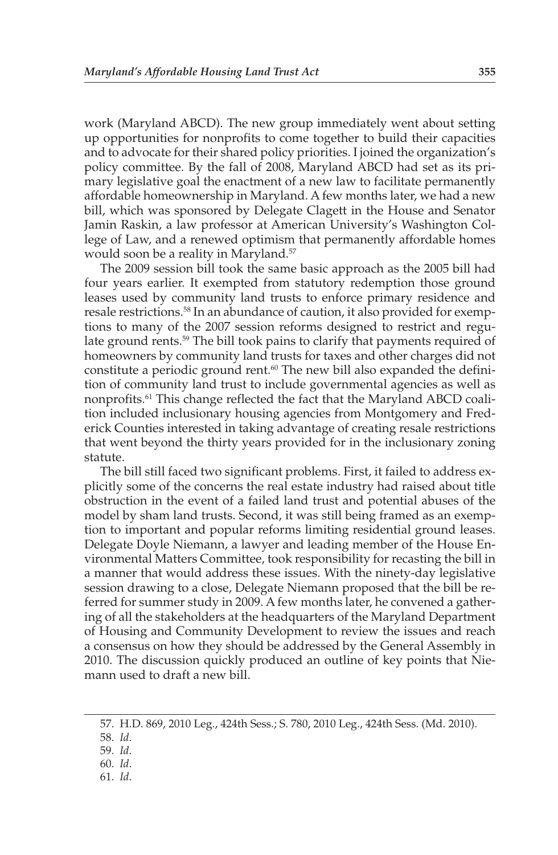work (Maryland ABCD). The new group immediately went about setting up opportunities for nonprofits to come together to build their capacities and to advocate for their shared policy priorities. I joined the organization's policy committee. By the fall of 2008, Maryland ABCD had set as its primary legislative goal the enactment of a new law to facilitate permanently affordable homeownership in Maryland. A few months later, we had a new bill, which was sponsored by Delegate Clagett in the House and Senator Jamin Raskin, a law professor at American University's Washington College of Law, and a renewed optimism that permanently affordable homes would soon be a reality in Maryland.<sup>57</sup>

 The 2009 session bill took the same basic approach as the 2005 bill had four years earlier. It exempted from statutory redemption those ground leases used by community land trusts to enforce primary residence and resale restrictions. 58 In an abundance of caution, it also provided for exemptions to many of the 2007 session reforms designed to restrict and regulate ground rents.<sup>59</sup> The bill took pains to clarify that payments required of homeowners by community land trusts for taxes and other charges did not constitute a periodic ground rent.<sup>60</sup> The new bill also expanded the definition of community land trust to include governmental agencies as well as nonprofits. 61 This change reflected the fact that the Maryland ABCD coalition included inclusionary housing agencies from Montgomery and Frederick Counties interested in taking advantage of creating resale restrictions that went beyond the thirty years provided for in the inclusionary zoning statute.

 The bill still faced two significant problems. First, it failed to address explicitly some of the concerns the real estate industry had raised about title obstruction in the event of a failed land trust and potential abuses of the model by sham land trusts. Second, it was still being framed as an exemption to important and popular reforms limiting residential ground leases. Delegate Doyle Niemann, a lawyer and leading member of the House Environmental Matters Committee, took responsibility for recasting the bill in a manner that would address these issues. With the ninety-day legislative session drawing to a close, Delegate Niemann proposed that the bill be referred for summer study in 2009. A few months later, he convened a gathering of all the stakeholders at the headquarters of the Maryland Department of Housing and Community Development to review the issues and reach a consensus on how they should be addressed by the General Assembly in 2010. The discussion quickly produced an outline of key points that Niemann used to draft a new bill.

61. *Id* .

 <sup>57.</sup> H.D. 869, 2010 Leg., 424th Sess.; S. 780, 2010 Leg., 424th Sess. (Md. 2010).

 <sup>58.</sup> *Id* .

 <sup>59.</sup> *Id* .

 <sup>60.</sup> *Id* .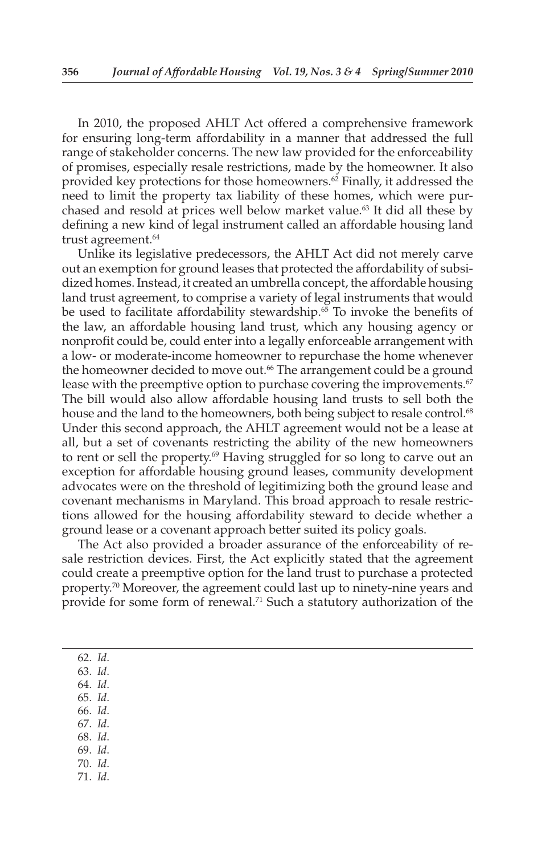In 2010, the proposed AHLT Act offered a comprehensive framework for ensuring long-term affordability in a manner that addressed the full range of stakeholder concerns. The new law provided for the enforceability of promises, especially resale restrictions, made by the homeowner. It also provided key protections for those homeowners.<sup>62</sup> Finally, it addressed the need to limit the property tax liability of these homes, which were purchased and resold at prices well below market value. 63 It did all these by defining a new kind of legal instrument called an affordable housing land trust agreement. 64

 Unlike its legislative predecessors, the AHLT Act did not merely carve out an exemption for ground leases that protected the affordability of subsidized homes. Instead, it created an umbrella concept, the affordable housing land trust agreement, to comprise a variety of legal instruments that would be used to facilitate affordability stewardship. $6\overline{5}$  To invoke the benefits of the law, an affordable housing land trust, which any housing agency or nonprofit could be, could enter into a legally enforceable arrangement with a low- or moderate-income homeowner to repurchase the home whenever the homeowner decided to move out.<sup>66</sup> The arrangement could be a ground lease with the preemptive option to purchase covering the improvements.<sup>67</sup> The bill would also allow affordable housing land trusts to sell both the house and the land to the homeowners, both being subject to resale control.<sup>68</sup> Under this second approach, the AHLT agreement would not be a lease at all, but a set of covenants restricting the ability of the new homeowners to rent or sell the property.<sup>69</sup> Having struggled for so long to carve out an exception for affordable housing ground leases, community development advocates were on the threshold of legitimizing both the ground lease and covenant mechanisms in Maryland. This broad approach to resale restrictions allowed for the housing affordability steward to decide whether a ground lease or a covenant approach better suited its policy goals.

 The Act also provided a broader assurance of the enforceability of resale restriction devices. First, the Act explicitly stated that the agreement could create a preemptive option for the land trust to purchase a protected property.<sup>70</sup> Moreover, the agreement could last up to ninety-nine years and provide for some form of renewal.<sup>71</sup> Such a statutory authorization of the

62. *Id* .

63. *Id* .

64. *Id* .

- 65. *Id* .
- 66. *Id* .
- 67. *Id* . 68. *Id* .
- 69. *Id* .
- 70. *Id* .
- 71. *Id* .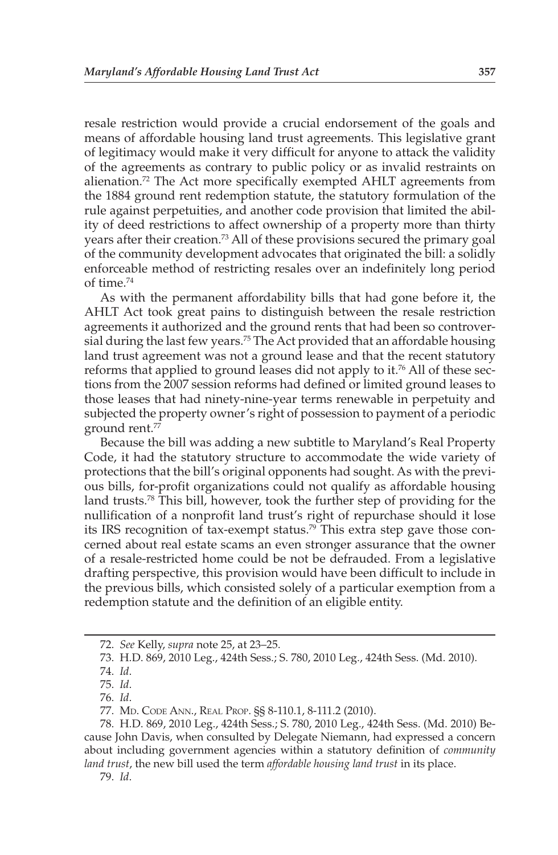resale restriction would provide a crucial endorsement of the goals and means of affordable housing land trust agreements. This legislative grant of legitimacy would make it very difficult for anyone to attack the validity of the agreements as contrary to public policy or as invalid restraints on alienation. 72 The Act more specifically exempted AHLT agreements from the 1884 ground rent redemption statute, the statutory formulation of the rule against perpetuities, and another code provision that limited the ability of deed restrictions to affect ownership of a property more than thirty years after their creation.<sup>73</sup> All of these provisions secured the primary goal of the community development advocates that originated the bill: a solidly enforceable method of restricting resales over an indefinitely long period of time. 74

 As with the permanent affordability bills that had gone before it, the AHLT Act took great pains to distinguish between the resale restriction agreements it authorized and the ground rents that had been so controversial during the last few years.<sup>75</sup> The Act provided that an affordable housing land trust agreement was not a ground lease and that the recent statutory reforms that applied to ground leases did not apply to it.<sup>76</sup> All of these sections from the 2007 session reforms had defined or limited ground leases to those leases that had ninety-nine-year terms renewable in perpetuity and subjected the property owner's right of possession to payment of a periodic ground rent.<sup>77</sup>

 Because the bill was adding a new subtitle to Maryland's Real Property Code, it had the statutory structure to accommodate the wide variety of protections that the bill's original opponents had sought. As with the previous bills, for-profit organizations could not qualify as affordable housing land trusts.<sup>78</sup> This bill, however, took the further step of providing for the nullification of a nonprofit land trust's right of repurchase should it lose its IRS recognition of tax-exempt status.<sup>79</sup> This extra step gave those concerned about real estate scams an even stronger assurance that the owner of a resale-restricted home could be not be defrauded. From a legislative drafting perspective, this provision would have been difficult to include in the previous bills, which consisted solely of a particular exemption from a redemption statute and the definition of an eligible entity.

79. *Id* .

 <sup>72.</sup> *See* Kelly, *supra* note 25, at 23–25.

 <sup>73.</sup> H.D. 869, 2010 Leg., 424th Sess.; S. 780, 2010 Leg., 424th Sess. (Md. 2010).

 <sup>74.</sup> *Id* .

 <sup>75.</sup> *Id* .

 <sup>76.</sup> *Id* .

 <sup>77.</sup> MD. CODE ANN., REAL PROP. §§ 8-110.1, 8-111.2 (2010).

 <sup>78.</sup> H.D. 869, 2010 Leg., 424th Sess.; S. 780, 2010 Leg., 424th Sess. (Md. 2010) Because John Davis, when consulted by Delegate Niemann, had expressed a concern about including government agencies within a statutory definition of *community land trust* , the new bill used the term *affordable housing land trust* in its place.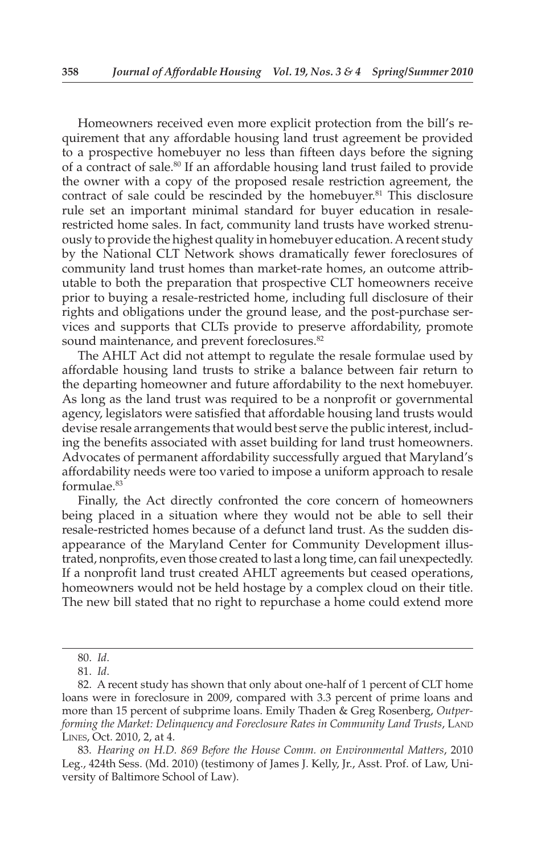Homeowners received even more explicit protection from the bill's requirement that any affordable housing land trust agreement be provided to a prospective homebuyer no less than fifteen days before the signing of a contract of sale.<sup>80</sup> If an affordable housing land trust failed to provide the owner with a copy of the proposed resale restriction agreement, the contract of sale could be rescinded by the homebuyer. 81 This disclosure rule set an important minimal standard for buyer education in resalerestricted home sales. In fact, community land trusts have worked strenuously to provide the highest quality in homebuyer education. A recent study by the National CLT Network shows dramatically fewer foreclosures of community land trust homes than market-rate homes, an outcome attributable to both the preparation that prospective CLT homeowners receive prior to buying a resale-restricted home, including full disclosure of their rights and obligations under the ground lease, and the post-purchase services and supports that CLTs provide to preserve affordability, promote sound maintenance, and prevent foreclosures.<sup>82</sup>

 The AHLT Act did not attempt to regulate the resale formulae used by affordable housing land trusts to strike a balance between fair return to the departing homeowner and future affordability to the next homebuyer. As long as the land trust was required to be a nonprofit or governmental agency, legislators were satisfied that affordable housing land trusts would devise resale arrangements that would best serve the public interest, including the benefits associated with asset building for land trust homeowners. Advocates of permanent affordability successfully argued that Maryland's affordability needs were too varied to impose a uniform approach to resale formulae. 83

 Finally, the Act directly confronted the core concern of homeowners being placed in a situation where they would not be able to sell their resale-restricted homes because of a defunct land trust. As the sudden disappearance of the Maryland Center for Community Development illustrated, nonprofits, even those created to last a long time, can fail unexpectedly. If a nonprofit land trust created AHLT agreements but ceased operations, homeowners would not be held hostage by a complex cloud on their title. The new bill stated that no right to repurchase a home could extend more

 <sup>80.</sup> *Id* .

 <sup>81.</sup> *Id* .

 <sup>82.</sup> A recent study has shown that only about one-half of 1 percent of CLT home loans were in foreclosure in 2009, compared with 3.3 percent of prime loans and more than 15 percent of subprime loans. Emily Thaden & Greg Rosenberg, *Outperforming the Market: Delinquency and Foreclosure Rates in Community Land Trusts* , LAND LINES, Oct. 2010, 2, at 4.

 <sup>83.</sup> *Hearing on H.D. 869 Before the House Comm. on Environmental Matters*, 2010 Leg., 424 th Sess. (Md. 2010) (testimony of James J. Kelly, Jr., Asst. Prof. of Law, University of Baltimore School of Law).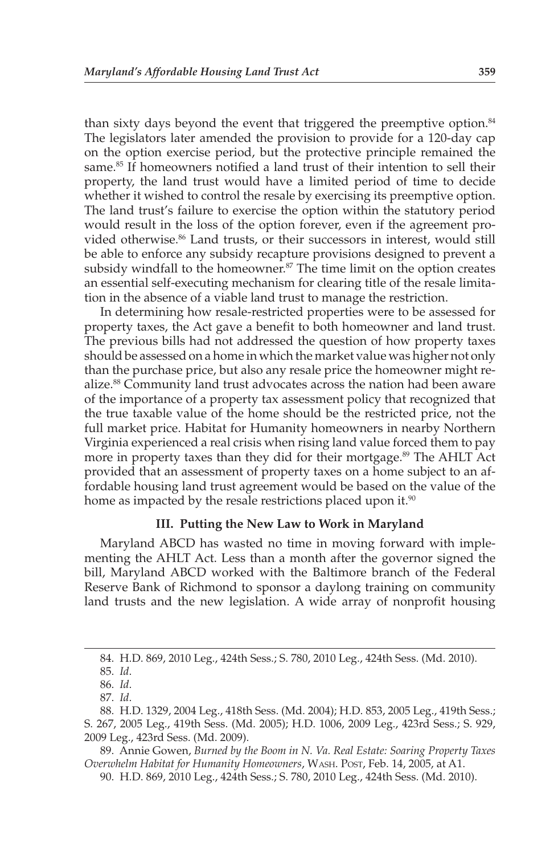than sixty days beyond the event that triggered the preemptive option.<sup>84</sup> The legislators later amended the provision to provide for a 120-day cap on the option exercise period, but the protective principle remained the same.<sup>85</sup> If homeowners notified a land trust of their intention to sell their property, the land trust would have a limited period of time to decide whether it wished to control the resale by exercising its preemptive option. The land trust's failure to exercise the option within the statutory period would result in the loss of the option forever, even if the agreement provided otherwise.<sup>86</sup> Land trusts, or their successors in interest, would still be able to enforce any subsidy recapture provisions designed to prevent a subsidy windfall to the homeowner.<sup>87</sup> The time limit on the option creates an essential self-executing mechanism for clearing title of the resale limitation in the absence of a viable land trust to manage the restriction.

 In determining how resale-restricted properties were to be assessed for property taxes, the Act gave a benefit to both homeowner and land trust. The previous bills had not addressed the question of how property taxes should be assessed on a home in which the market value was higher not only than the purchase price, but also any resale price the homeowner might realize.<sup>88</sup> Community land trust advocates across the nation had been aware of the importance of a property tax assessment policy that recognized that the true taxable value of the home should be the restricted price, not the full market price. Habitat for Humanity homeowners in nearby Northern Virginia experienced a real crisis when rising land value forced them to pay more in property taxes than they did for their mortgage.<sup>89</sup> The AHLT Act provided that an assessment of property taxes on a home subject to an affordable housing land trust agreement would be based on the value of the home as impacted by the resale restrictions placed upon it.<sup>90</sup>

#### **III. Putting the New Law to Work in Maryland**

 Maryland ABCD has wasted no time in moving forward with implementing the AHLT Act. Less than a month after the governor signed the bill, Maryland ABCD worked with the Baltimore branch of the Federal Reserve Bank of Richmond to sponsor a daylong training on community land trusts and the new legislation. A wide array of nonprofit housing

 <sup>84.</sup> H.D. 869, 2010 Leg., 424th Sess.; S. 780, 2010 Leg., 424th Sess. (Md. 2010).

 <sup>85.</sup> *Id* .

 <sup>86.</sup> *Id* .

 <sup>87.</sup> *Id* .

 <sup>88.</sup> H.D. 1329, 2004 Leg., 418th Sess. (Md. 2004); H.D. 853, 2005 Leg., 419th Sess.; S. 267, 2005 Leg., 419th Sess. (Md. 2005); H.D. 1006, 2009 Leg., 423rd Sess.; S. 929, 2009 Leg., 423rd Sess. (Md. 2009).

 <sup>89.</sup> Annie Gowen, *Burned by the Boom in N. Va. Real Estate: Soaring Property Taxes Overwhelm Habitat for Humanity Homeowners* , WASH. POST , Feb. 14, 2005, at A1.

 <sup>90.</sup> H.D. 869, 2010 Leg., 424th Sess.; S. 780, 2010 Leg., 424th Sess. (Md. 2010).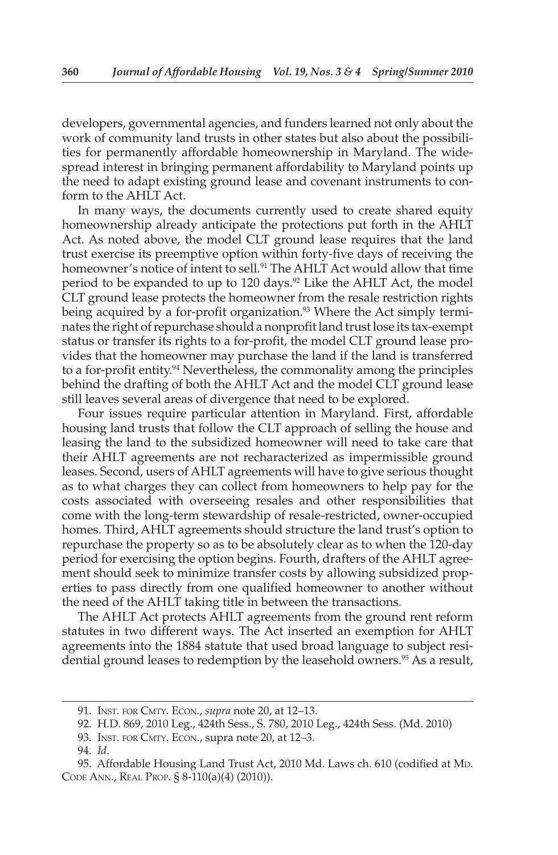developers, governmental agencies, and funders learned not only about the work of community land trusts in other states but also about the possibilities for permanently affordable homeownership in Maryland. The widespread interest in bringing permanent affordability to Maryland points up the need to adapt existing ground lease and covenant instruments to conform to the AHLT Act.

 In many ways, the documents currently used to create shared equity homeownership already anticipate the protections put forth in the AHLT Act. As noted above, the model CLT ground lease requires that the land trust exercise its preemptive option within forty-five days of receiving the homeowner's notice of intent to sell.<sup>91</sup> The AHLT Act would allow that time period to be expanded to up to 120 days.<sup>92</sup> Like the AHLT Act, the model CLT ground lease protects the homeowner from the resale restriction rights being acquired by a for-profit organization.<sup>93</sup> Where the Act simply terminates the right of repurchase should a nonprofit land trust lose its tax-exempt status or transfer its rights to a for-profit, the model CLT ground lease provides that the homeowner may purchase the land if the land is transferred to a for-profit entity. 94 Nevertheless, the commonality among the principles behind the drafting of both the AHLT Act and the model CLT ground lease still leaves several areas of divergence that need to be explored.

 Four issues require particular attention in Maryland. First, affordable housing land trusts that follow the CLT approach of selling the house and leasing the land to the subsidized homeowner will need to take care that their AHLT agreements are not recharacterized as impermissible ground leases. Second, users of AHLT agreements will have to give serious thought as to what charges they can collect from homeowners to help pay for the costs associated with overseeing resales and other responsibilities that come with the long-term stewardship of resale-restricted, owner-occupied homes. Third, AHLT agreements should structure the land trust's option to repurchase the property so as to be absolutely clear as to when the 120-day period for exercising the option begins. Fourth, drafters of the AHLT agreement should seek to minimize transfer costs by allowing subsidized properties to pass directly from one qualified homeowner to another without the need of the AHLT taking title in between the transactions.

 The AHLT Act protects AHLT agreements from the ground rent reform statutes in two different ways. The Act inserted an exemption for AHLT agreements into the 1884 statute that used broad language to subject residential ground leases to redemption by the leasehold owners.<sup>95</sup> As a result,

 <sup>91.</sup> INST. FOR CMTY. ECON. , *supra* note 20, at 12–13.

 <sup>92.</sup> H.D. 869, 2010 Leg., 424th Sess., S. 780, 2010 Leg., 424th Sess. (Md. 2010)

 <sup>93.</sup> INST. FOR CMTY. ECON., supra note 20, at 12–3.

<sup>94.</sup> Id.

<sup>95.</sup> Affordable Housing Land Trust Act, 2010 Md. Laws ch. 610 (codified at MD. CODE ANN., REAL PROP. § 8-110(a)(4) (2010)).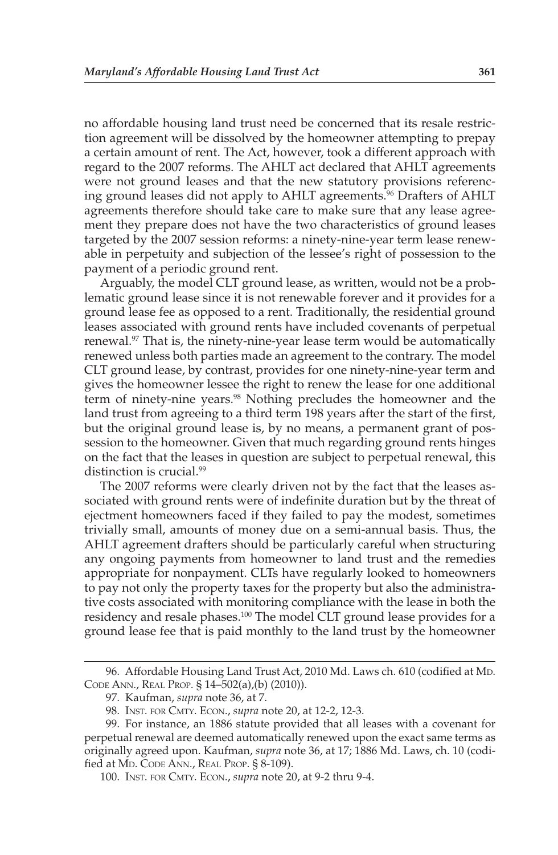no affordable housing land trust need be concerned that its resale restriction agreement will be dissolved by the homeowner attempting to prepay a certain amount of rent. The Act, however, took a different approach with regard to the 2007 reforms. The AHLT act declared that AHLT agreements were not ground leases and that the new statutory provisions referencing ground leases did not apply to AHLT agreements. 96 Drafters of AHLT agreements therefore should take care to make sure that any lease agreement they prepare does not have the two characteristics of ground leases targeted by the 2007 session reforms: a ninety-nine-year term lease renewable in perpetuity and subjection of the lessee's right of possession to the payment of a periodic ground rent.

 Arguably, the model CLT ground lease, as written, would not be a problematic ground lease since it is not renewable forever and it provides for a ground lease fee as opposed to a rent. Traditionally, the residential ground leases associated with ground rents have included covenants of perpetual renewal.<sup>97</sup> That is, the ninety-nine-year lease term would be automatically renewed unless both parties made an agreement to the contrary. The model CLT ground lease, by contrast, provides for one ninety-nine-year term and gives the homeowner lessee the right to renew the lease for one additional term of ninety-nine years.<sup>98</sup> Nothing precludes the homeowner and the land trust from agreeing to a third term 198 years after the start of the first, but the original ground lease is, by no means, a permanent grant of possession to the homeowner. Given that much regarding ground rents hinges on the fact that the leases in question are subject to perpetual renewal, this distinction is crucial.<sup>99</sup>

 The 2007 reforms were clearly driven not by the fact that the leases associated with ground rents were of indefinite duration but by the threat of ejectment homeowners faced if they failed to pay the modest, sometimes trivially small, amounts of money due on a semi-annual basis. Thus, the AHLT agreement drafters should be particularly careful when structuring any ongoing payments from homeowner to land trust and the remedies appropriate for nonpayment. CLTs have regularly looked to homeowners to pay not only the property taxes for the property but also the administrative costs associated with monitoring compliance with the lease in both the residency and resale phases.<sup>100</sup> The model CLT ground lease provides for a ground lease fee that is paid monthly to the land trust by the homeowner

<sup>96.</sup> Affordable Housing Land Trust Act, 2010 Md. Laws ch. 610 (codified at MD. CODE ANN., REAL PROP. § 14–502(a),(b) (2010)).

 <sup>97.</sup> Kaufman, *supra* note 36, at 7.

 <sup>98.</sup> INST. FOR CMTY. ECON., *supra* note 20, at 12-2, 12-3.

 <sup>99.</sup> For instance, an 1886 statute provided that all leases with a covenant for perpetual renewal are deemed automatically renewed upon the exact same terms as originally agreed upon. Kaufman, *supra* note 36, at 17; 1886 Md. Laws, ch. 10 (codified at MD. CODE ANN., REAL PROP. § 8-109).

 <sup>100.</sup> INST. FOR CMTY. ECON., *supra* note 20, at 9-2 thru 9-4.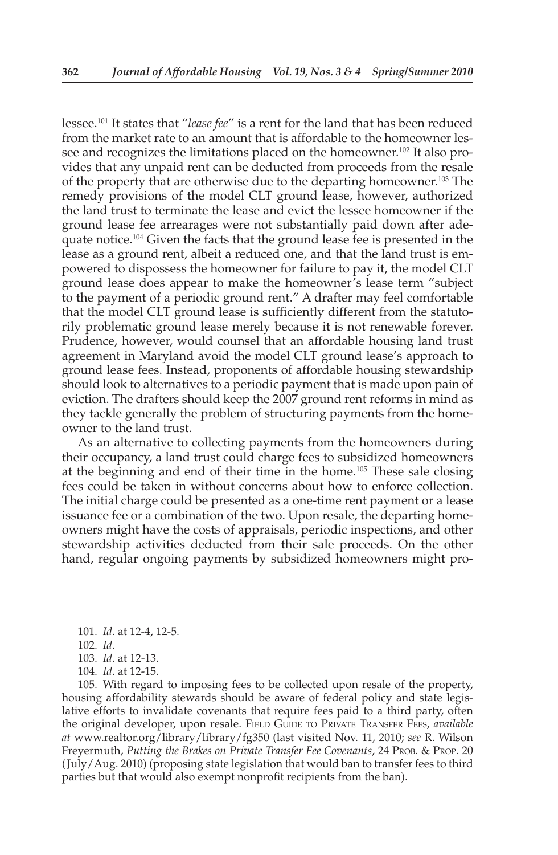lessee. 101 It states that "*lease fee*" is a rent for the land that has been reduced from the market rate to an amount that is affordable to the homeowner lessee and recognizes the limitations placed on the homeowner. 102 It also provides that any unpaid rent can be deducted from proceeds from the resale of the property that are otherwise due to the departing homeowner. 103 The remedy provisions of the model CLT ground lease, however, authorized the land trust to terminate the lease and evict the lessee homeowner if the ground lease fee arrearages were not substantially paid down after adequate notice.<sup>104</sup> Given the facts that the ground lease fee is presented in the lease as a ground rent, albeit a reduced one, and that the land trust is empowered to dispossess the homeowner for failure to pay it, the model CLT ground lease does appear to make the homeowner's lease term "subject to the payment of a periodic ground rent." A drafter may feel comfortable that the model CLT ground lease is sufficiently different from the statutorily problematic ground lease merely because it is not renewable forever. Prudence, however, would counsel that an affordable housing land trust agreement in Maryland avoid the model CLT ground lease's approach to ground lease fees. Instead, proponents of affordable housing stewardship should look to alternatives to a periodic payment that is made upon pain of eviction. The drafters should keep the 2007 ground rent reforms in mind as they tackle generally the problem of structuring payments from the homeowner to the land trust.

 As an alternative to collecting payments from the homeowners during their occupancy, a land trust could charge fees to subsidized homeowners at the beginning and end of their time in the home.105 These sale closing fees could be taken in without concerns about how to enforce collection. The initial charge could be presented as a one-time rent payment or a lease issuance fee or a combination of the two. Upon resale, the departing homeowners might have the costs of appraisals, periodic inspections, and other stewardship activities deducted from their sale proceeds. On the other hand, regular ongoing payments by subsidized homeowners might pro-

105. With regard to imposing fees to be collected upon resale of the property, housing affordability stewards should be aware of federal policy and state legislative efforts to invalidate covenants that require fees paid to a third party, often the original developer, upon resale. FIELD GUIDE TO PRIVATE TRANSFER FEES, *available at* www.realtor.org/library/library/fg350 (last visited Nov. 11, 2010; *see* R. Wilson Freyermuth, *Putting the Brakes on Private Transfer Fee Covenants*, 24 PROB. & PROP. 20 ( July/Aug. 2010) (proposing state legislation that would ban to transfer fees to third parties but that would also exempt nonprofit recipients from the ban).

<sup>101.</sup> *Id.* at 12-4, 12-5.

 <sup>102.</sup> *Id* .

<sup>103.</sup> *Id.* at 12-13.

<sup>104.</sup> *Id.* at 12-15.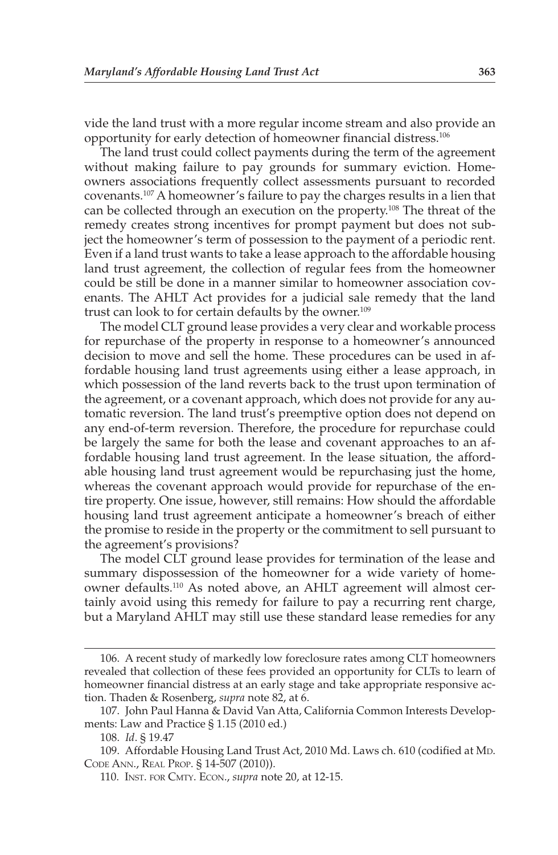vide the land trust with a more regular income stream and also provide an opportunity for early detection of homeowner financial distress. 106

 The land trust could collect payments during the term of the agreement without making failure to pay grounds for summary eviction. Homeowners associations frequently collect assessments pursuant to recorded covenants. 107 A homeowner's failure to pay the charges results in a lien that can be collected through an execution on the property.<sup>108</sup> The threat of the remedy creates strong incentives for prompt payment but does not subject the homeowner's term of possession to the payment of a periodic rent. Even if a land trust wants to take a lease approach to the affordable housing land trust agreement, the collection of regular fees from the homeowner could be still be done in a manner similar to homeowner association covenants. The AHLT Act provides for a judicial sale remedy that the land trust can look to for certain defaults by the owner.<sup>109</sup>

 The model CLT ground lease provides a very clear and workable process for repurchase of the property in response to a homeowner's announced decision to move and sell the home. These procedures can be used in affordable housing land trust agreements using either a lease approach, in which possession of the land reverts back to the trust upon termination of the agreement, or a covenant approach, which does not provide for any automatic reversion. The land trust's preemptive option does not depend on any end-of-term reversion. Therefore, the procedure for repurchase could be largely the same for both the lease and covenant approaches to an affordable housing land trust agreement. In the lease situation, the affordable housing land trust agreement would be repurchasing just the home, whereas the covenant approach would provide for repurchase of the entire property. One issue, however, still remains: How should the affordable housing land trust agreement anticipate a homeowner's breach of either the promise to reside in the property or the commitment to sell pursuant to the agreement's provisions?

 The model CLT ground lease provides for termination of the lease and summary dispossession of the homeowner for a wide variety of homeowner defaults. 110 As noted above, an AHLT agreement will almost certainly avoid using this remedy for failure to pay a recurring rent charge, but a Maryland AHLT may still use these standard lease remedies for any

 <sup>106.</sup> A recent study of markedly low foreclosure rates among CLT homeowners revealed that collection of these fees provided an opportunity for CLTs to learn of homeowner financial distress at an early stage and take appropriate responsive action. Thaden & Rosenberg, *supra* note 82, at 6.

 <sup>107.</sup> John Paul Hanna & David Van Atta, California Common Interests Developments: Law and Practice § 1.15 (2010 ed.)

 <sup>108.</sup> *Id* . § 19.47

<sup>109.</sup> Affordable Housing Land Trust Act, 2010 Md. Laws ch. 610 (codified at MD. CODE ANN., REAL PROP. § 14-507 (2010)).

 <sup>110.</sup> INST. FOR CMTY. ECON., *supra* note 20, at 12-15.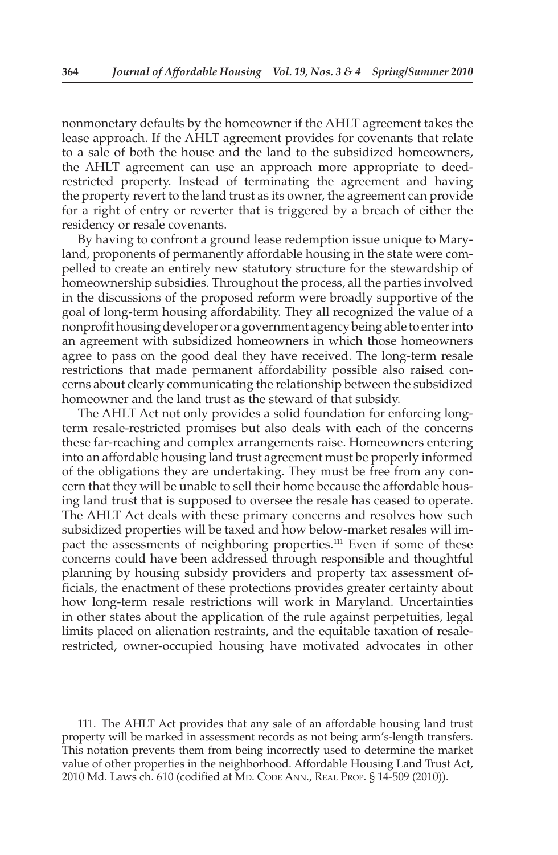nonmonetary defaults by the homeowner if the AHLT agreement takes the lease approach. If the AHLT agreement provides for covenants that relate to a sale of both the house and the land to the subsidized homeowners, the AHLT agreement can use an approach more appropriate to deedrestricted property. Instead of terminating the agreement and having the property revert to the land trust as its owner, the agreement can provide for a right of entry or reverter that is triggered by a breach of either the residency or resale covenants.

 By having to confront a ground lease redemption issue unique to Maryland, proponents of permanently affordable housing in the state were compelled to create an entirely new statutory structure for the stewardship of homeownership subsidies. Throughout the process, all the parties involved in the discussions of the proposed reform were broadly supportive of the goal of long-term housing affordability. They all recognized the value of a nonprofit housing developer or a government agency being able to enter into an agreement with subsidized homeowners in which those homeowners agree to pass on the good deal they have received. The long-term resale restrictions that made permanent affordability possible also raised concerns about clearly communicating the relationship between the subsidized homeowner and the land trust as the steward of that subsidy.

 The AHLT Act not only provides a solid foundation for enforcing longterm resale-restricted promises but also deals with each of the concerns these far-reaching and complex arrangements raise. Homeowners entering into an affordable housing land trust agreement must be properly informed of the obligations they are undertaking. They must be free from any concern that they will be unable to sell their home because the affordable housing land trust that is supposed to oversee the resale has ceased to operate. The AHLT Act deals with these primary concerns and resolves how such subsidized properties will be taxed and how below-market resales will impact the assessments of neighboring properties. 111 Even if some of these concerns could have been addressed through responsible and thoughtful planning by housing subsidy providers and property tax assessment officials, the enactment of these protections provides greater certainty about how long-term resale restrictions will work in Maryland. Uncertainties in other states about the application of the rule against perpetuities, legal limits placed on alienation restraints, and the equitable taxation of resalerestricted, owner-occupied housing have motivated advocates in other

 <sup>111.</sup> The AHLT Act provides that any sale of an affordable housing land trust property will be marked in assessment records as not being arm's-length transfers. This notation prevents them from being incorrectly used to determine the market value of other properties in the neighborhood. Affordable Housing Land Trust Act, 2010 Md. Laws ch. 610 (codified at MD. CODE ANN., REAL PROP. § 14-509 (2010)).